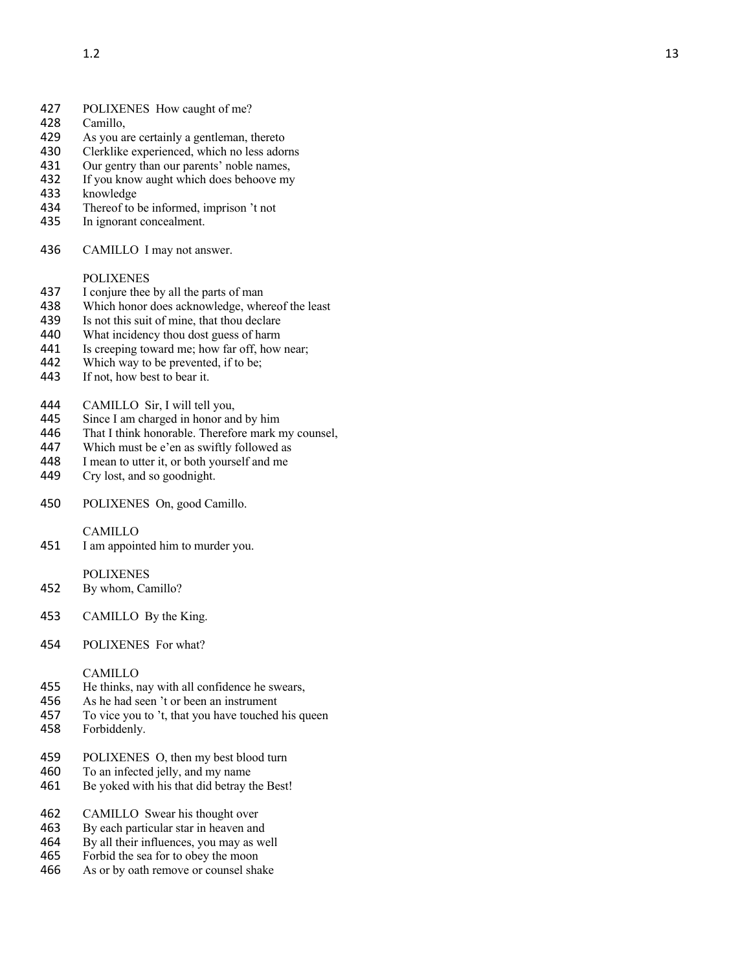# 427 POLIXENES How caught of me?<br>428 Camillo,

- 428 Camillo,<br>429 As you a
- As you are certainly a gentleman, thereto
- 430 Clerklike experienced, which no less adorns
- 431 Our gentry than our parents' noble names,
- 432 If you know aught which does behoove my<br>433 knowledge
- knowledge
- 434 Thereof to be informed, imprison 't not<br>435 In ignorant concealment.
- In ignorant concealment.
- 436 CAMILLO I may not answer.

#### POLIXENES

- 437 I conjure thee by all the parts of man<br>438 Which honor does acknowledge, when
- Which honor does acknowledge, whereof the least
- 439 Is not this suit of mine, that thou declare<br>440 What incidency thou dost guess of harm
- What incidency thou dost guess of harm
- 441 Is creeping toward me; how far off, how near;<br>442 Which way to be prevented, if to be:
- 442 Which way to be prevented, if to be;<br>443 If not, how best to bear it.
- If not, how best to bear it.
- 444 CAMILLO Sir, I will tell you,<br>445 Since I am charged in honor an
- Since I am charged in honor and by him
- 446 That I think honorable. Therefore mark my counsel,
- 447 Which must be e'en as swiftly followed as<br>448 I mean to utter it, or both vourself and me
- I mean to utter it, or both yourself and me
- 449 Cry lost, and so goodnight.
- 450 POLIXENES On, good Camillo.

## CAMILLO

451 I am appointed him to murder you.

#### POLIXENES

- 452 By whom, Camillo?
- 453 CAMILLO By the King.
- 454 POLIXENES For what?

#### CAMILLO

- 455 He thinks, nay with all confidence he swears,
- 456 As he had seen 't or been an instrument
- 457 To vice you to 't, that you have touched his queen
- 458 Forbiddenly.
- 459 POLIXENES O, then my best blood turn
- 460 To an infected jelly, and my name
- 461 Be yoked with his that did betray the Best!
- 462 CAMILLO Swear his thought over
- 463 By each particular star in heaven and<br>464 By all their influences, you may as we
- 464 By all their influences, you may as well<br>465 Forbid the sea for to obey the moon
- Forbid the sea for to obey the moon
- 466 As or by oath remove or counsel shake